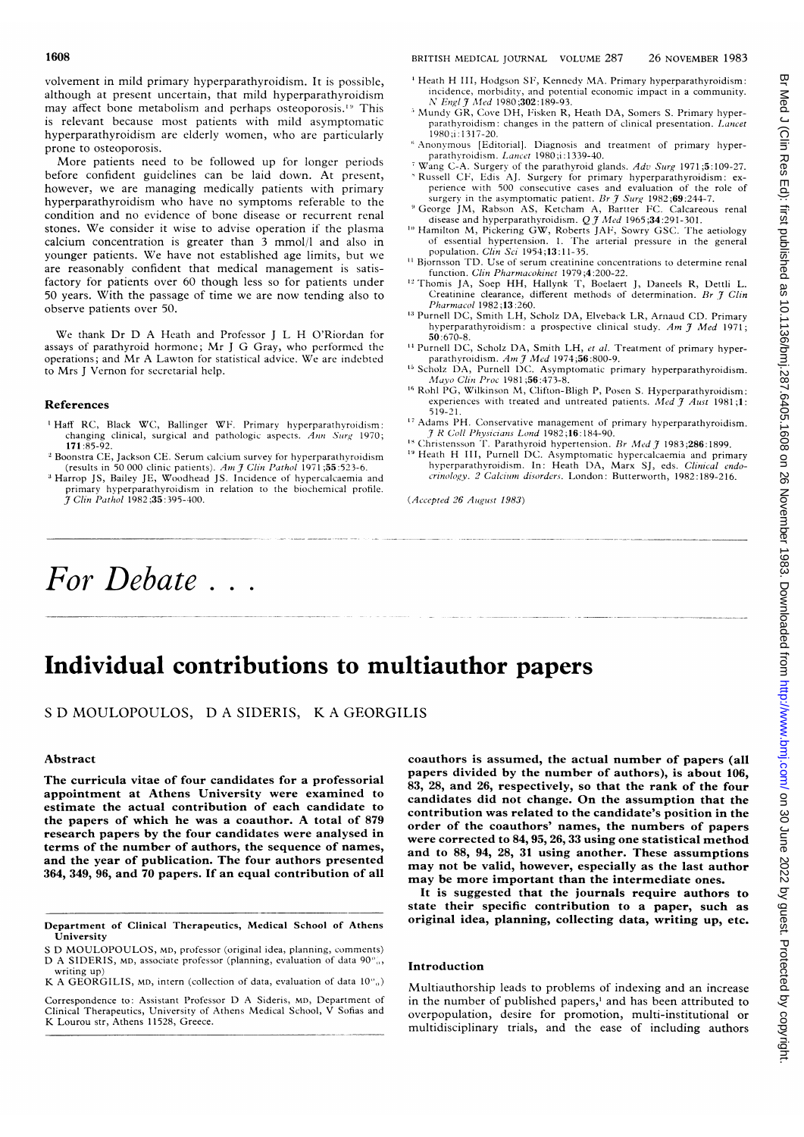volvement in mild primary hyperparathyroidism. It is possible, although at present uncertain, that mild hyperparathyroidism may affect bone metabolism and perhaps osteoporosis.<sup>19</sup> This is relevant because most patients with mild asymptomatic hyperparathyroidism are elderly women, who are particularly prone to osteoporosis.

More patients need to be followed up for longer periods before confident guidelines can be laid down. At present, however, we are managing medically patients with primary hyperparathyroidism who have no symptoms referable to the condition and no evidence of bone disease or recurrent renal stones. We consider it wise to advise operation if the plasma calcium concentration is greater than 3 mmol/l and also in younger patients. We have not established age limits, but we are reasonably confident that medical management is satisfactory for patients over 60 though less so for patients under 50 years. With the passage of time we are now tending also to observe patients over 50.

We thank Dr D A Heath and Professor J L H O'Riordan for assays of parathyroid hormone; Mr <sup>J</sup> G Gray, who performed the operations; and Mr A Lawton for statistical advice. We are indebted to Mrs <sup>J</sup> Vernon for secretarial help.

#### References

- 'Haff RC, Black WC, Ballinger WF. Primary hyperparathyroidism: changing clinical, surgical and pathologic aspects. Ann Surg 1970; 171 :85-92.
- <sup>2</sup> Boonstra CE, Jackson CE. Serum calcium survey for hyperparathyroidism (results in 50 000 clinic patients). Am  $\tilde{\jmath}$  Clin Pathol 1971 ;55:523-6.
- <sup>3</sup> Harrop JS, Bailey JE, Woodhead JS. Incidence of hypercalcaemia and primary hyperparathyroidism in relation to the biochemical profile.<br>J Cli*n Pathol* 1982;**35**:395-400.

### 1608 BRITISH MEDICAL JOURNAL VOLUME 287 26 NOVEMBER 1983

- <sup>4</sup> Heath H III, Hodgson SF, Kennedy MA. Primary hyperparathyroidism: incidence, morbidity, and potential economic impact in a community.<br>N Engl J Med 1980;302:189-93.
- <sup>5</sup> Mundy GR, Cove DH, Fisken R, Heath DA, Somers S. Primary hyperparathyroidism: changes in the pattern of clinical presentation. Lancet 1980;i: 1317-20.
- Anonymous [Editorial]. Diagnosis and treatment of primary hyperparathyroidism. Lancet 1980;i:1339-40.
- <sup>7</sup> Wang C-A. Surgery of the parathyroid glands. Adv Surg 1971;5:109-27. Russell CF, Edis AJ. Surgery for primary hyperparathyroidism: ex-
- perience with 500 consecutive cases and evaluation of the role of surgery in the asymptomatic patient. Br  $\hat{f}$  Surg 1982;69:244-7.<br>George JM, Rabson AS, Ketcham A, Bartter FC. Calcareous renal disease and hyperparathyroidism. Q J Med 1965;34:291-301.
- <sup>10</sup> Hamilton M, Pickering GW, Roberts JAF, Sowry GSC. The aetiology of essential hypertension. 1. The arterial pressure in the general
- population. *Clin Sci* 1954;13:11-35.<br>Bjornsson TD. Use of serum creatinine concentrations to determine renal function. Clin Pharmacokinet 1979;4:200-22.
- ' Thomis JA, Soep HH, Hallynk T, Boelaert J, Daneels R, Dettli L. Creatinine clearance, different methods of determination. Br 7 Clin Pharmacol 1982;13:260.
- <sup>13</sup> Purnell DC, Smith LH, Scholz DA, Elveback LR, Arnaud CD. Primary hyperparathyroidism: a prospective clinical study. Am  $\mathcal{J}$  Med 1971; 50:670-8.
- <sup>14</sup> Purnell DC, Scholz DA, Smith LH, et al. Treatment of primary hyperparathyroidism. Am J Med 1974;56:800-9.<br>Scholz DA, Purnell DC. Asymptomatic primary hyperparathyroidism.
- Mayo Clin Proc 1981;56:473-8.
- '6 Rohl PG, Wilkinson M, Clifton-Bligh P, Posen S. Hyperparathyroidism: experiences with treated and untreated patients. Med  $\tilde{J}$  Aust 1981;1: 519-21.
- <sup>17</sup> Adams PH. Conservative management of primary hyperparathyroidism.  $R$  Coll Physicians Lond 1982;16:184-90.
- <sup>18</sup> Christensson T. Parathyroid hypertension. Br Med  $\tilde{\tau}$  1983;286:1899. <sup>19</sup> Heath H III, Purnell DC. Asymptomatic hypercalcaemia and primary hyperparathyroidism. In: Heath DA, Marx SJ, eds. Clinical endocrinology. 2 Calcium disorders. London: Butterworth, 1982:189-216.

(Accepted 26 August 1983)

# For Debate  $\ldots$

## Individual contributions to multiauthor papers

<sup>S</sup> D MOULOPOULOS, D A SIDERIS, K A GEORGILIS

#### Abstract

The curricula vitae of four candidates for a professorial appointment at Athens University were examined to estimate the actual contribution of each candidate to the papers of which he was <sup>a</sup> coauthor. A total of <sup>879</sup> research papers by the four candidates were analysed in terms of the number of authors, the sequence of names, and the year of publication. The four authors presented 364, 349, 96, and 70 papers. If an equal contribution of all

K A GEORGILIS, MD, intern (collection of data, evaluation of data  $10\%$ )

Correspondence to: Assistant Professor D A Sideris, MD, Department of Clinical Therapeutics, University of Athens Medical School, V Sofias and K Lourou str, Athens 11528, Greece.

coauthors is assumed, the actual number of papers (all papers divided by the number of authors), is about 106, 83, 28, and 26, respectively, so that the rank of the four candidates did not change. On the assumption that the contribution was related to the candidate's position in the order of the coauthors' names, the numbers of papers were corrected to 84, 95, 26, 33 using one statistical method and to 88, 94, 28, 31 using another. These assumptions may not be valid, however, especially as the last author may be more important than the intermediate ones.

It is suggested that the journals require authors to state their specific contribution to a paper, such as original idea, planning, collecting data, writing up, etc.

#### Introduction

Multiauthorship leads to problems of indexing and an increase in the number of published papers,' and has been attributed to overpopulation, desire for promotion, multi-institutional or multidisciplinary trials, and the ease of including authors

Department of Clinical Therapeutics, Medical School of Athens University

<sup>S</sup> D MOULOPOULOS, MD, professor (original idea, planning, comments) D A SIDERIS, MD, associate professor (planning, evaluation of data 90%, writing up)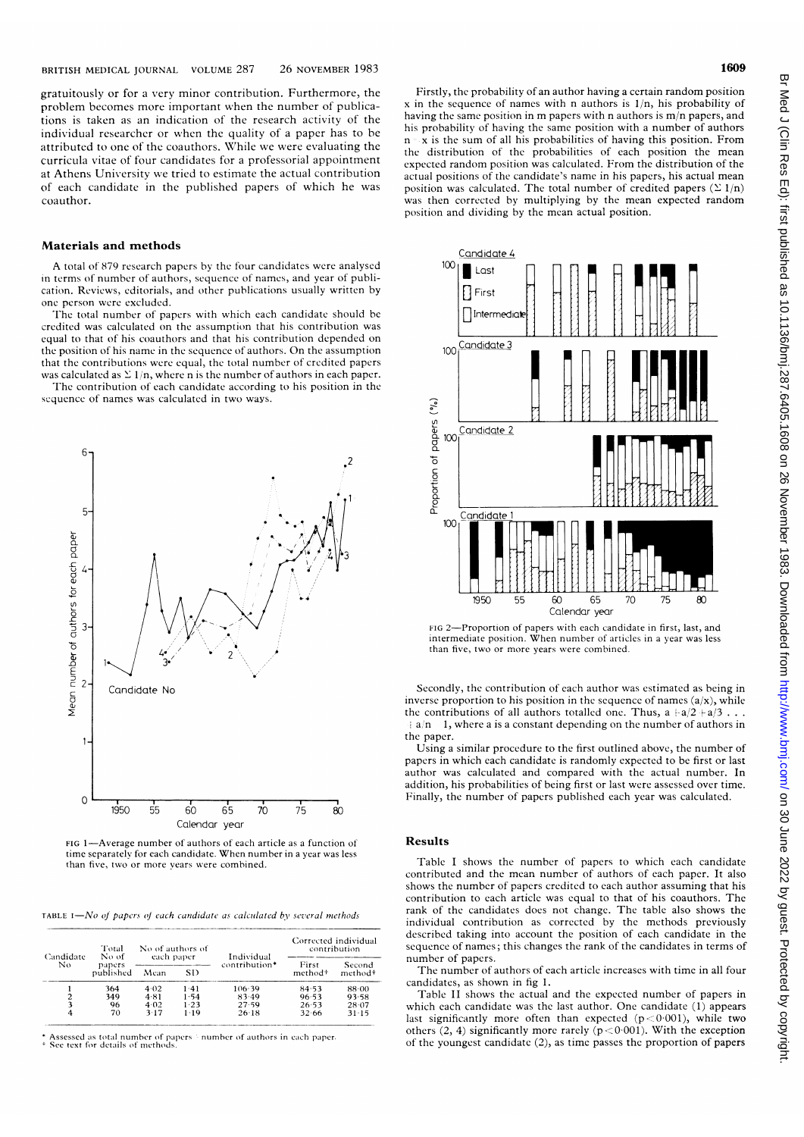gratuitously or for a very minor contribution. Furthermore, the problem becomes more important when the number of publications is taken as an indication of the research activity of the individual researcher or when the quality of <sup>a</sup> paper has to be attributcd to one of the coauthors. While we were evaluating the curricula vitae of four candidates for <sup>a</sup> professorial appointment at Athens University we tried to estimate the actual contribution of each candidate in the published papers of which he was coauthor.

#### Materials and methods

A total of 879 rcsearch papers by the four candidates were analysed in terms of number of authors, sequence of namcs, and year of publication. Reviews, cditorials, and other publications usually written by one person wcre excluded.

The total number of papers with which each candidate should be credited was calculated on the assumption that his contribution was equal to that of his coauthors and that his contribution depended on the position of his name in the sequence of authors. On the assumption that the contributions wcrc equal, the total number of credited papers was calculated as  $\Sigma$  1/n, where n is the number of authors in each paper.

The contribution of each candidate according to his position in the sequence of names was calculated in two ways.



time separately for each candidate. When number in a year was less than five, two or more vears were combined.

TABLE  $I-Mo$  of papers of each candidate as calculated by several methods

| Candidate<br>Nο | Total<br>No of<br>papers<br>published | No of authors of<br>each paper |          | Individual    | Corrected individual<br>contribution |                               |
|-----------------|---------------------------------------|--------------------------------|----------|---------------|--------------------------------------|-------------------------------|
|                 |                                       | Mean                           | SD       | contribution* | First<br>method <sup>+</sup>         | Second<br>method <sup>+</sup> |
|                 | 364                                   | 4.02                           | 1.41     | 106.39        | 84.53                                | 88.00                         |
| 2               | 349                                   | 4.81                           | 1.54     | $83-49$       | 96.53                                | 93.58                         |
| 3               | 96                                    | 4.02                           | 1.23     | 27.59         | 26.53                                | 28.07                         |
| 4               | 70                                    | 3.17                           | $1 - 19$ | $26-18$       | 32.66                                | 31.15                         |

\* Assessed as total number of papers 5 number of authors in each paper-<br>+ See text for details of methods.

Firstly, the probability of an author having a certain random position x in the sequence of names with n authors is  $1/n$ , his probability of having the same position in m papers with <sup>n</sup> authors is m/n papers, and his probability of having the same position with <sup>a</sup> number of authors  $n \times x$  is the sum of all his probabilities of having this position. From the distribution of the probabilities of each position the mean cxpected random position was calculated. From the distribution of the actual positions of the candidate's name in his papers, his actual mean position was calculated. The total number of credited papers  $(\Sigma 1/n)$ was then corrected by multiplying by the mean expected random position and dividing by the mean actual position.



FIG 2-Proportion of papers with each candidate in first, last, and intermediate position. When number of articles in <sup>a</sup> year was less than five, two or more years were combined.

Secondly, the contribution of each author was estimated as being in inverse proportion to his position in the sequence of names (a/x), while the contributions of all authors totalled one. Thus,  $a + a/2 + a/3$ ...  $+a/n - 1$ , where a is a constant depending on the number of authors in the paper.

Using <sup>a</sup> similar procedure to the first outlined above, the number of papers in which each candidate is randomly expected to be first or last author was calculated and compared with the actual number. In addition, his probabilities of being first or last were assessed over time. Finally, the number of papers published each year was calculated.

#### Results

Table <sup>I</sup> shows the number of papers to which each candidate contributed and the mean number of authors of each paper. It also shows the number of papers credited to each author assuming that his contribution to each article was equal to that of his coauthors. The rank of the candidates does not change. The table also shows the individual contribution as corrected by the methods previously described taking into account the position of each candidate in the sequence of names; this changes the rank of the candidates in terms of number of papcrs.

The number of authors of each article increases with time in all four candidates, as shown in fig 1.

Table II shows the actual and the expected number of papers in which each candidate was the last author. One candidate (1) appears last significantly more often than expected  $(p < 0.001)$ , while two others (2, 4) significantly more rarely  $(p < 0.001)$ . With the exception of the youngest candidate (2), as time passes the proportion of papers